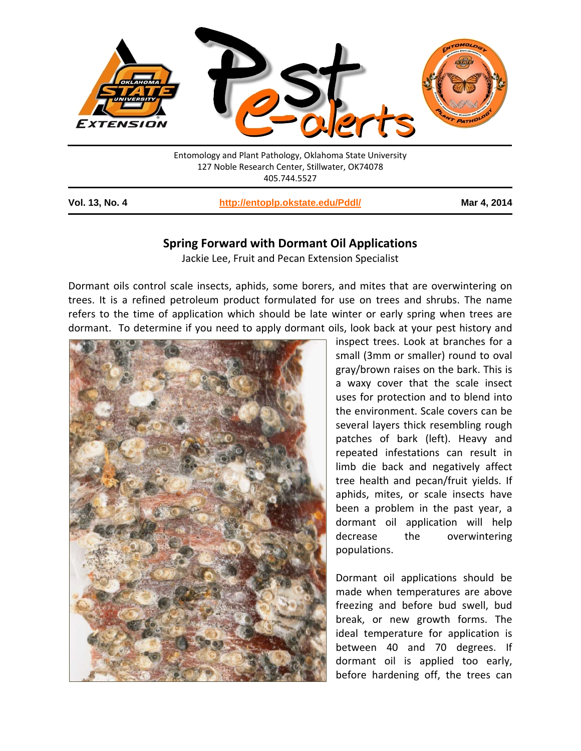

405.744.5527

| Vol. 13, No. 4 | http://entoplp.okstate.edu/Pddl/ | Mar 4, 2014 |
|----------------|----------------------------------|-------------|
|----------------|----------------------------------|-------------|

## **Spring Forward with Dormant Oil Applications**

Jackie Lee, Fruit and Pecan Extension Specialist

Dormant oils control scale insects, aphids, some borers, and mites that are overwintering on trees. It is a refined petroleum product formulated for use on trees and shrubs. The name refers to the time of application which should be late winter or early spring when trees are dormant. To determine if you need to apply dormant oils, look back at your pest history and



inspect trees. Look at branches for a small (3mm or smaller) round to oval gray/brown raises on the bark. This is a waxy cover that the scale insect uses for protection and to blend into the environment. Scale covers can be several layers thick resembling rough patches of bark (left). Heavy and repeated infestations can result in limb die back and negatively affect tree health and pecan/fruit yields. If aphids, mites, or scale insects have been a problem in the past year, a dormant oil application will help decrease the overwintering populations.

Dormant oil applications should be made when temperatures are above freezing and before bud swell, bud break, or new growth forms. The ideal temperature for application is between 40 and 70 degrees. If dormant oil is applied too early, before hardening off, the trees can